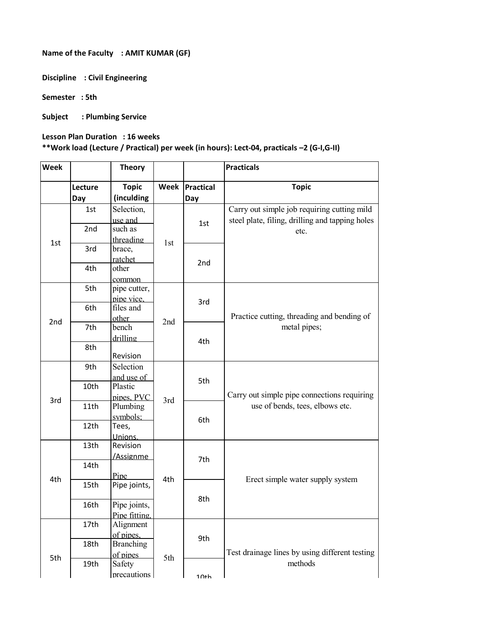**Name of the Faculty : AMIT KUMAR (GF)** 

**Discipline : Civil Engineering** 

**Semester : 5th** 

**Subject : Plumbing Service** 

**Lesson Plan Duration : 16 weeks** 

## **\*\*Work load (Lecture / Practical) per week (in hours): Lect-04, practicals –2 (G-I,G-II)**

| <b>Week</b>     |                 | <b>Theory</b>              |      |                         | <b>Practicals</b>                                                              |
|-----------------|-----------------|----------------------------|------|-------------------------|--------------------------------------------------------------------------------|
|                 | Lecture<br>Day  | <b>Topic</b><br>(inculding | Week | <b>Practical</b><br>Day | <b>Topic</b>                                                                   |
|                 | 1st             | Selection,                 |      |                         | Carry out simple job requiring cutting mild                                    |
|                 |                 | use and                    |      | 1st                     | steel plate, filing, drilling and tapping holes                                |
|                 | 2 <sub>nd</sub> | such as                    |      |                         | etc.                                                                           |
| 1st             |                 | threading                  |      |                         |                                                                                |
|                 | 3rd<br>4th      | brace,                     | 1st  | 2nd                     |                                                                                |
|                 |                 | ratchet                    |      |                         |                                                                                |
|                 |                 | other                      |      |                         |                                                                                |
|                 |                 | common                     |      |                         |                                                                                |
|                 | 5th             | pipe cutter,               |      |                         | Practice cutting, threading and bending of<br>metal pipes;                     |
|                 |                 | pipe vice,                 |      | 3rd                     |                                                                                |
|                 | 6th             | files and                  | 2nd  |                         |                                                                                |
| 2 <sub>nd</sub> |                 | other                      |      |                         |                                                                                |
|                 | 7th             | bench                      |      | 4th                     |                                                                                |
|                 |                 | drilling                   |      |                         |                                                                                |
|                 | 8th             |                            |      |                         |                                                                                |
|                 |                 | Revision                   |      |                         |                                                                                |
| 3rd             | 9th             | Selection                  |      | 5th                     | Carry out simple pipe connections requiring<br>use of bends, tees, elbows etc. |
|                 |                 | and use of                 |      |                         |                                                                                |
|                 | 10th            | Plastic                    |      |                         |                                                                                |
|                 |                 | pipes, PVC                 | 3rd  |                         |                                                                                |
|                 | 11th            | Plumbing                   |      | 6th                     |                                                                                |
|                 |                 | symbols;                   |      |                         |                                                                                |
|                 | 12th            | Tees,                      |      |                         |                                                                                |
|                 |                 | Unions.                    |      |                         |                                                                                |
|                 | 13th            | Revision                   |      | 7th                     | Erect simple water supply system                                               |
| 4th             |                 | /Assignme                  |      |                         |                                                                                |
|                 | 14th            |                            |      |                         |                                                                                |
|                 |                 | Pipe                       | 4th  |                         |                                                                                |
|                 | 15th            | Pipe joints,               |      | 8th                     |                                                                                |
|                 | 16th            | Pipe joints,               |      |                         |                                                                                |
|                 |                 | Pipe fitting,              |      |                         |                                                                                |
|                 | 17th            | Alignment                  |      |                         |                                                                                |
|                 |                 | of pipes.                  |      |                         |                                                                                |
|                 | 18th            | <b>Branching</b>           |      | 9th                     |                                                                                |
| 5th             |                 | of pipes                   |      |                         | Test drainage lines by using different testing                                 |
|                 |                 | 19th<br>Safety             | 5th  |                         | methods                                                                        |
|                 |                 | precautions                |      |                         |                                                                                |
|                 |                 |                            |      | $1$ $0 + h$             |                                                                                |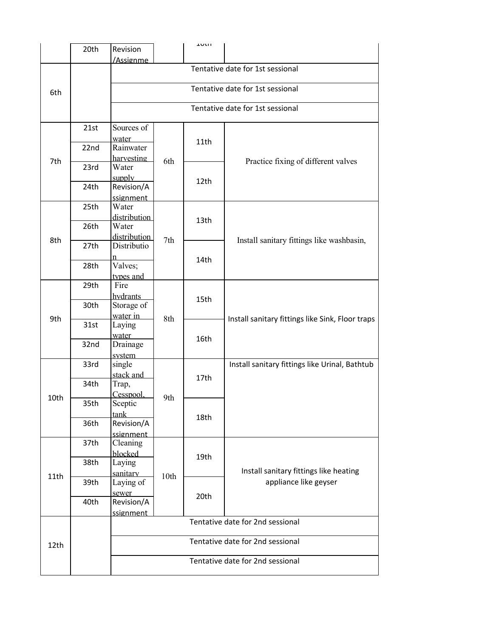|      | 20th         | Revision                                                             |                                  | エリいい |                                                                 |  |  |  |  |
|------|--------------|----------------------------------------------------------------------|----------------------------------|------|-----------------------------------------------------------------|--|--|--|--|
|      |              | /Assignme                                                            |                                  |      |                                                                 |  |  |  |  |
|      |              |                                                                      | Tentative date for 1st sessional |      |                                                                 |  |  |  |  |
|      |              |                                                                      |                                  |      |                                                                 |  |  |  |  |
|      |              | Tentative date for 1st sessional                                     |                                  |      |                                                                 |  |  |  |  |
| 6th  |              |                                                                      |                                  |      |                                                                 |  |  |  |  |
|      |              |                                                                      | Tentative date for 1st sessional |      |                                                                 |  |  |  |  |
|      |              |                                                                      |                                  |      |                                                                 |  |  |  |  |
| 7th  | 21st         | Sources of                                                           |                                  | 11th | Practice fixing of different valves                             |  |  |  |  |
|      |              | water                                                                | 6th                              |      |                                                                 |  |  |  |  |
|      | 22nd         | Rainwater                                                            |                                  |      |                                                                 |  |  |  |  |
|      |              | harvesting                                                           |                                  |      |                                                                 |  |  |  |  |
|      | 23rd         | Water                                                                |                                  | 12th |                                                                 |  |  |  |  |
|      | 24th         | supply                                                               |                                  |      |                                                                 |  |  |  |  |
|      |              | Revision/A                                                           |                                  |      |                                                                 |  |  |  |  |
|      |              | ssignment                                                            |                                  |      |                                                                 |  |  |  |  |
|      | 25th         | Water                                                                |                                  |      |                                                                 |  |  |  |  |
|      |              | distribution                                                         |                                  | 13th |                                                                 |  |  |  |  |
|      | 26th         | Water                                                                |                                  |      |                                                                 |  |  |  |  |
| 8th  |              | distribution                                                         | 7th                              |      | Install sanitary fittings like washbasin,                       |  |  |  |  |
|      | 27th         | Distributio                                                          |                                  |      |                                                                 |  |  |  |  |
|      |              | n                                                                    |                                  | 14th |                                                                 |  |  |  |  |
|      | 28th         | Valves;                                                              |                                  |      |                                                                 |  |  |  |  |
|      |              | types and                                                            |                                  |      |                                                                 |  |  |  |  |
|      | 29th         | Fire                                                                 | 8th                              |      | Install sanitary fittings like Sink, Floor traps                |  |  |  |  |
|      |              | hydrants                                                             |                                  | 15th |                                                                 |  |  |  |  |
|      | 30th         | Storage of                                                           |                                  |      |                                                                 |  |  |  |  |
| 9th  |              | water in                                                             |                                  |      |                                                                 |  |  |  |  |
|      | 31st         | Laying                                                               |                                  | 16th |                                                                 |  |  |  |  |
|      | 32nd         | water                                                                |                                  |      |                                                                 |  |  |  |  |
|      |              | Drainage                                                             |                                  |      |                                                                 |  |  |  |  |
|      |              | system                                                               |                                  |      |                                                                 |  |  |  |  |
|      | 33rd<br>34th | single                                                               | 9th                              | 17th | Install sanitary fittings like Urinal, Bathtub                  |  |  |  |  |
|      |              | stack and                                                            |                                  |      |                                                                 |  |  |  |  |
|      |              | Trap,                                                                |                                  |      |                                                                 |  |  |  |  |
| 10th |              | Cesspool.                                                            |                                  |      |                                                                 |  |  |  |  |
|      | 35th<br>36th | Sceptic                                                              |                                  | 18th |                                                                 |  |  |  |  |
|      |              | tank<br>Revision/A                                                   |                                  |      |                                                                 |  |  |  |  |
|      |              |                                                                      |                                  |      |                                                                 |  |  |  |  |
|      | 37th         | ssignment<br>Cleaning                                                |                                  |      |                                                                 |  |  |  |  |
|      | 38th         | blocked                                                              | 10th                             | 19th |                                                                 |  |  |  |  |
|      |              | Laying                                                               |                                  |      | Install sanitary fittings like heating<br>appliance like geyser |  |  |  |  |
|      |              | sanitary                                                             |                                  |      |                                                                 |  |  |  |  |
| 11th | 39th         | Laying of                                                            |                                  |      |                                                                 |  |  |  |  |
|      | 40th         | sewer                                                                |                                  | 20th |                                                                 |  |  |  |  |
|      |              | Revision/A                                                           |                                  |      |                                                                 |  |  |  |  |
|      |              |                                                                      |                                  |      |                                                                 |  |  |  |  |
|      |              | ssignment<br>Tentative date for 2nd sessional                        |                                  |      |                                                                 |  |  |  |  |
|      |              |                                                                      |                                  |      |                                                                 |  |  |  |  |
|      |              | Tentative date for 2nd sessional<br>Tentative date for 2nd sessional |                                  |      |                                                                 |  |  |  |  |
| 12th |              |                                                                      |                                  |      |                                                                 |  |  |  |  |
|      |              |                                                                      |                                  |      |                                                                 |  |  |  |  |
|      |              |                                                                      |                                  |      |                                                                 |  |  |  |  |